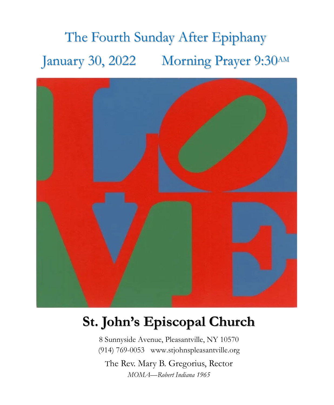# The Fourth Sunday After Epiphany January 30, 2022 Morning Prayer 9:30AM



## **St. John's Episcopal Church**

8 Sunnyside Avenue, Pleasantville, NY 10570 (914) 769-0053 www.stjohnspleasantville.org

The Rev. Mary B. Gregorius, Rector *MOMA—Robert Indiana 1965*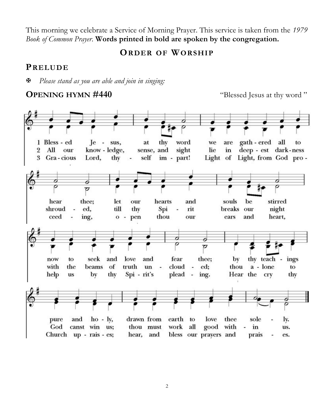This morning we celebrate a Service of Morning Prayer. This service is taken from the *1979 Book of Common Prayer*. **Words printed in bold are spoken by the congregation.**

**ORDER OF WORSHIP**

#### **PRELUDE**

*Please stand as you are able and join in singing:*

#### **OPENING HYMN #440** "Blessed Jesus at thy word"

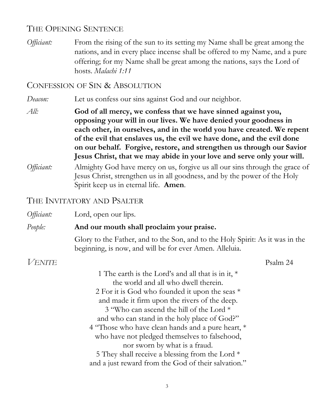#### THE OPENING SENTENCE

*Officiant:* From the rising of the sun to its setting my Name shall be great among the nations, and in every place incense shall be offered to my Name, and a pure offering; for my Name shall be great among the nations, says the Lord of hosts. *Malachi 1:11*

#### CONFESSION OF SIN & ABSOLUTION

*Deacon:* Let us confess our sins against God and our neighbor.

*All:* **God of all mercy, we confess that we have sinned against you, opposing your will in our lives. We have denied your goodness in each other, in ourselves, and in the world you have created. We repent of the evil that enslaves us, the evil we have done, and the evil done on our behalf. Forgive, restore, and strengthen us through our Savior Jesus Christ, that we may abide in your love and serve only your will.** 

*Officiant:* Almighty God have mercy on us, forgive us all our sins through the grace of Jesus Christ, strengthen us in all goodness, and by the power of the Holy Spirit keep us in eternal life. **Amen**.

#### THE INVITATORY AND PSALTER

| Officiant:    | Lord, open our lips.                                                                                                                                                                                                                                                                                                                                                                                                                                                                                                                       |          |
|---------------|--------------------------------------------------------------------------------------------------------------------------------------------------------------------------------------------------------------------------------------------------------------------------------------------------------------------------------------------------------------------------------------------------------------------------------------------------------------------------------------------------------------------------------------------|----------|
| People:       | And our mouth shall proclaim your praise.                                                                                                                                                                                                                                                                                                                                                                                                                                                                                                  |          |
|               | Glory to the Father, and to the Son, and to the Holy Spirit: As it was in the<br>beginning, is now, and will be for ever Amen. Alleluia.                                                                                                                                                                                                                                                                                                                                                                                                   |          |
| <b>VENITE</b> |                                                                                                                                                                                                                                                                                                                                                                                                                                                                                                                                            | Psalm 24 |
|               | 1 The earth is the Lord's and all that is in it, *<br>the world and all who dwell therein.<br>2 For it is God who founded it upon the seas *<br>and made it firm upon the rivers of the deep.<br>3 "Who can ascend the hill of the Lord *<br>and who can stand in the holy place of God?"<br>4 "Those who have clean hands and a pure heart, *<br>who have not pledged themselves to falsehood,<br>nor sworn by what is a fraud.<br>5 They shall receive a blessing from the Lord *<br>and a just reward from the God of their salvation." |          |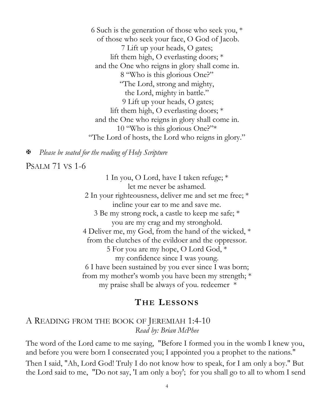6 Such is the generation of those who seek you, \* of those who seek your face, O God of Jacob. 7 Lift up your heads, O gates; lift them high, O everlasting doors; \* and the One who reigns in glory shall come in. 8 "Who is this glorious One?" "The Lord, strong and mighty, the Lord, mighty in battle." 9 Lift up your heads, O gates; lift them high, O everlasting doors; \* and the One who reigns in glory shall come in. 10 "Who is this glorious One?"\* "The Lord of hosts, the Lord who reigns in glory."

*Please be seated for the reading of Holy Scripture*

PSALM 71 VS 1-6

1 In you, O Lord, have I taken refuge; \* let me never be ashamed. 2 In your righteousness, deliver me and set me free; \* incline your ear to me and save me. 3 Be my strong rock, a castle to keep me safe; \* you are my crag and my stronghold. 4 Deliver me, my God, from the hand of the wicked, \* from the clutches of the evildoer and the oppressor. 5 For you are my hope, O Lord God, \* my confidence since I was young. 6 I have been sustained by you ever since I was born; from my mother's womb you have been my strength; \* my praise shall be always of you. redeemer \*

#### **THE LESSONS**

#### A READING FROM THE BOOK OF JEREMIAH 1:4-10 *Read by: Brian McPhee*

The word of the Lord came to me saying, "Before I formed you in the womb I knew you, and before you were born I consecrated you; I appointed you a prophet to the nations." Then I said, "Ah, Lord God! Truly I do not know how to speak, for I am only a boy." But the Lord said to me, "Do not say, 'I am only a boy'; for you shall go to all to whom I send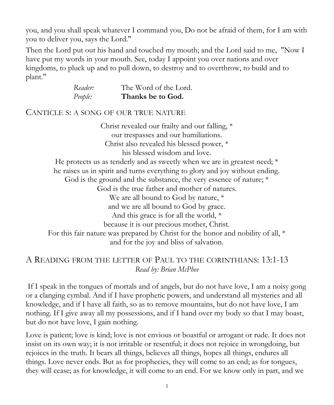you, and you shall speak whatever I command you, Do not be afraid of them, for I am with you to deliver you, says the Lord."

Then the Lord put out his hand and touched my mouth; and the Lord said to me, "Now I have put my words in your mouth. See, today I appoint you over nations and over kingdoms, to pluck up and to pull down, to destroy and to overthrow, to build and to plant."

| Reader: | The Word of the Lord. |
|---------|-----------------------|
| People: | Thanks be to God.     |

#### CANTICLE S: A SONG OF OUR TRUE NATURE

Christ revealed our frailty and our falling, \* our trespasses and our humiliations. Christ also revealed his blessed power, \* his blessed wisdom and love. He protects us as tenderly and as sweetly when we are in greatest need; \* he raises us in spirit and turns everything to glory and joy without ending. God is the ground and the substance, the very essence of nature; \* God is the true father and mother of natures. We are all bound to God by nature, \* and we are all bound to God by grace. And this grace is for all the world, \* because it is our precious mother, Christ. For this fair nature was prepared by Christ for the honor and nobility of all, \* and for the joy and bliss of salvation.

#### A READING FROM THE LETTER OF PAUL TO THE CORINTHIANS: 13:1-13 *Read by: Brian McPhee*

If I speak in the tongues of mortals and of angels, but do not have love, I am a noisy gong or a clanging cymbal. And if I have prophetic powers, and understand all mysteries and all knowledge, and if I have all faith, so as to remove mountains, but do not have love, I am nothing. If I give away all my possessions, and if I hand over my body so that I may boast, but do not have love, I gain nothing.

Love is patient; love is kind; love is not envious or boastful or arrogant or rude. It does not insist on its own way; it is not irritable or resentful; it does not rejoice in wrongdoing, but rejoices in the truth. It bears all things, believes all things, hopes all things, endures all things. Love never ends. But as for prophecies, they will come to an end; as for tongues, they will cease; as for knowledge, it will come to an end. For we know only in part, and we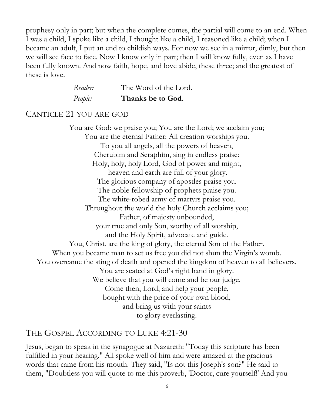prophesy only in part; but when the complete comes, the partial will come to an end. When I was a child, I spoke like a child, I thought like a child, I reasoned like a child; when I became an adult, I put an end to childish ways. For now we see in a mirror, dimly, but then we will see face to face. Now I know only in part; then I will know fully, even as I have been fully known. And now faith, hope, and love abide, these three; and the greatest of these is love.

| Reader: | The Word of the Lord. |
|---------|-----------------------|
| People: | Thanks be to God.     |

#### CANTICLE 21 YOU ARE GOD

You are God: we praise you; You are the Lord; we acclaim you; You are the eternal Father: All creation worships you. To you all angels, all the powers of heaven, Cherubim and Seraphim, sing in endless praise: Holy, holy, holy Lord, God of power and might, heaven and earth are full of your glory. The glorious company of apostles praise you. The noble fellowship of prophets praise you. The white-robed army of martyrs praise you. Throughout the world the holy Church acclaims you; Father, of majesty unbounded, your true and only Son, worthy of all worship, and the Holy Spirit, advocate and guide. You, Christ, are the king of glory, the eternal Son of the Father. When you became man to set us free you did not shun the Virgin's womb. You overcame the sting of death and opened the kingdom of heaven to all believers. You are seated at God's right hand in glory. We believe that you will come and be our judge. Come then, Lord, and help your people, bought with the price of your own blood, and bring us with your saints to glory everlasting.

#### THE GOSPEL ACCORDING TO LUKE 4:21-30

Jesus, began to speak in the synagogue at Nazareth: "Today this scripture has been fulfilled in your hearing." All spoke well of him and were amazed at the gracious words that came from his mouth. They said, "Is not this Joseph's son?" He said to them, "Doubtless you will quote to me this proverb, 'Doctor, cure yourself!' And you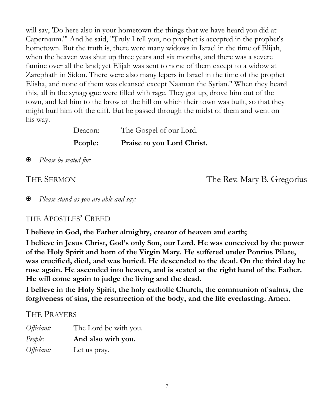will say, 'Do here also in your hometown the things that we have heard you did at Capernaum.'" And he said, "Truly I tell you, no prophet is accepted in the prophet's hometown. But the truth is, there were many widows in Israel in the time of Elijah, when the heaven was shut up three years and six months, and there was a severe famine over all the land; yet Elijah was sent to none of them except to a widow at Zarephath in Sidon. There were also many lepers in Israel in the time of the prophet Elisha, and none of them was cleansed except Naaman the Syrian." When they heard this, all in the synagogue were filled with rage. They got up, drove him out of the town, and led him to the brow of the hill on which their town was built, so that they might hurl him off the cliff. But he passed through the midst of them and went on his way.

| Deacon: | The Gospel of our Lord.    |
|---------|----------------------------|
| People: | Praise to you Lord Christ. |

*Please be seated for:*

THE SERMON The Rev. Mary B. Gregorius

*Please stand as you are able and say:*

#### THE APOSTLES' CREED

**I believe in God, the Father almighty, creator of heaven and earth;**

**I believe in Jesus Christ, God's only Son, our Lord. He was conceived by the power of the Holy Spirit and born of the Virgin Mary. He suffered under Pontius Pilate, was crucified, died, and was buried. He descended to the dead. On the third day he rose again. He ascended into heaven, and is seated at the right hand of the Father. He will come again to judge the living and the dead.**

**I believe in the Holy Spirit, the holy catholic Church, the communion of saints, the forgiveness of sins, the resurrection of the body, and the life everlasting. Amen.**

#### THE PRAYERS

| Officiant: | The Lord be with you. |
|------------|-----------------------|
| People:    | And also with you.    |
| Officiant: | Let us pray.          |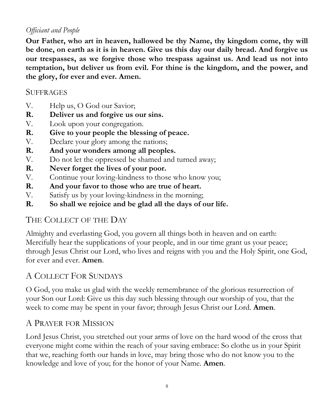#### *Officiant and People*

**Our Father, who art in heaven, hallowed be thy Name, thy kingdom come, thy will be done, on earth as it is in heaven. Give us this day our daily bread. And forgive us our trespasses, as we forgive those who trespass against us. And lead us not into temptation, but deliver us from evil. For thine is the kingdom, and the power, and the glory, for ever and ever. Amen.**

#### **SUFFRAGES**

- V. Help us, O God our Savior;
- **R. Deliver us and forgive us our sins.**
- V. Look upon your congregation.
- **R. Give to your people the blessing of peace.**
- V. Declare your glory among the nations;
- **R. And your wonders among all peoples.**
- V. Do not let the oppressed be shamed and turned away;
- **R. Never forget the lives of your poor.**
- V. Continue your loving-kindness to those who know you;
- **R. And your favor to those who are true of heart.**
- V. Satisfy us by your loving-kindness in the morning;
- **R. So shall we rejoice and be glad all the days of our life.**

### THE COLLECT OF THE DAY

Almighty and everlasting God, you govern all things both in heaven and on earth: Mercifully hear the supplications of your people, and in our time grant us your peace; through Jesus Christ our Lord, who lives and reigns with you and the Holy Spirit, one God, for ever and ever. **Amen**.

### A COLLECT FOR SUNDAYS

O God, you make us glad with the weekly remembrance of the glorious resurrection of your Son our Lord: Give us this day such blessing through our worship of you, that the week to come may be spent in your favor; through Jesus Christ our Lord. **Amen**.

### A PRAYER FOR MISSION

Lord Jesus Christ, you stretched out your arms of love on the hard wood of the cross that everyone might come within the reach of your saving embrace: So clothe us in your Spirit that we, reaching forth our hands in love, may bring those who do not know you to the knowledge and love of you; for the honor of your Name. **Amen**.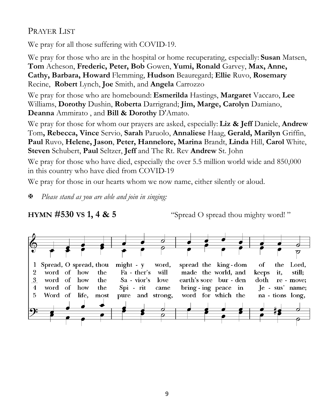#### PRAYER LIST

We pray for all those suffering with COVID-19.

We pray for those who are in the hospital or home recuperating, especially: **Susan** Matsen, **Tom** Acheson, **Frederic, Peter, Bob** Gowen, **Yumi, Ronald** Garvey, **Max, Anne, Cathy, Barbara, Howard** Flemming, **Hudson** Beauregard; **Ellie** Ruvo, **Rosemary** Recine, **Robert** Lynch, **Joe** Smith, and **Angela** Carrozzo

We pray for those who are homebound: **Esmerilda** Hastings, **Margaret** Vaccaro, **Lee** Williams, **Dorothy** Dushin, **Roberta** Darrigrand; **Jim, Marge, Carolyn** Damiano, **Deanna** Ammirato , and **Bill & Dorothy** D'Amato.

We pray for those for whom our prayers are asked, especially: **Liz & Jeff** Daniele, **Andrew**  Tom**, Rebecca, Vince** Servio, **Sarah** Paruolo, **Annaliese** Haag, **Gerald, Marilyn** Griffin, **Paul** Ruvo, **Helene, Jason**, **Peter, Hannelore, Marina** Brandt, **Linda** Hill, **Carol** White, **Steven** Schubert, **Paul** Seltzer, **Jeff** and The Rt. Rev **Andrew** St. John

We pray for those who have died, especially the over 5.5 million world wide and 850,000 in this country who have died from COVID-19

We pray for those in our hearts whom we now name, either silently or aloud.

*Please stand as you are able and join in singing:*

**HYMN** #530 **VS** 1, 4 & 5 "Spread O spread thou mighty word!"

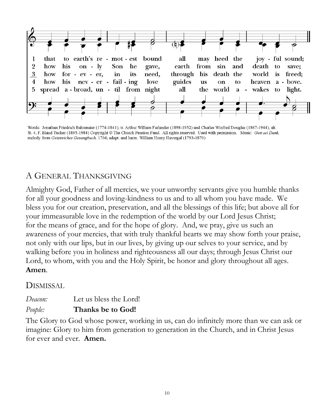

Words: Jonathan Friedrich Bahnmaier (1774-1841); tr. Arthur William Farlander (1898-1952) and Charles Winfred Douglas (1867-1944), alt. St. 4, F. Bland Tucker (1895-1984) Copyright @ The Church Pension Fund. All rights reserved. Used with permission. Music: Gott sei Dank, melody from Geistreiches Gesangbuch, 1704; adapt. and harm. William Henry Havergal (1793-1870)

### A GENERAL THANKSGIVING

Almighty God, Father of all mercies, we your unworthy servants give you humble thanks for all your goodness and loving-kindness to us and to all whom you have made. We bless you for our creation, preservation, and all the blessings of this life; but above all for your immeasurable love in the redemption of the world by our Lord Jesus Christ; for the means of grace, and for the hope of glory. And, we pray, give us such an awareness of your mercies, that with truly thankful hearts we may show forth your praise, not only with our lips, but in our lives, by giving up our selves to your service, and by walking before you in holiness and righteousness all our days; through Jesus Christ our Lord, to whom, with you and the Holy Spirit, be honor and glory throughout all ages. **Amen**.

#### DISMISSAL

#### *Deacon:* Let us bless the Lord! *People:* **Thanks be to God!**

The Glory to God whose power, working in us, can do infinitely more than we can ask or imagine: Glory to him from generation to generation in the Church, and in Christ Jesus for ever and ever. **Amen.**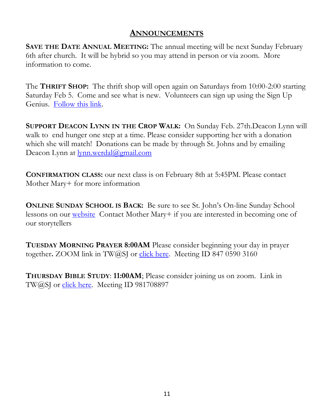#### **ANNOUNCEMENTS**

**SAVE THE DATE ANNUAL MEETING:** The annual meeting will be next Sunday February 6th after church. It will be hybrid so you may attend in person or via zoom. More information to come.

The **THRIFT SHOP:** The thrift shop will open again on Saturdays from 10:00-2:00 starting Saturday Feb 5. Come and see what is new. Volunteers can sign up using the Sign Up Genius. [Follow this link.](https://www.signupgenius.com/go/20F0C4BABAA2DA1FC1-stjohns)

**SUPPORT DEACON LYNN IN THE CROP WALK:** On Sunday Feb. 27th.Deacon Lynn will walk to end hunger one step at a time. Please consider supporting her with a donation which she will match! Donations can be made by through St. Johns and by emailing Deacon Lynn at [lynn.werdal@gmail.com](mailto:lynn.werdal@gmail.com)

**CONFIRMATION CLASS:** our next class is on February 8th at 5:45PM. Please contact Mother Mary+ for more information

**ONLINE SUNDAY SCHOOL IS BACK:** Be sure to see St. John's On-line Sunday School lessons on our **website** Contact Mother Mary+ if you are interested in becoming one of our storytellers

**TUESDAY MORNING PRAYER 8:00AM** Please consider beginning your day in prayer together**.** ZOOM link in TW@SJ or [click here.](https://us02web.zoom.us/j/84705903160) Meeting ID 847 0590 3160

**THURSDAY BIBLE STUDY**: **11:00AM**; Please consider joining us on zoom. Link in TW@SJ or [click here.](https://us02web.zoom.us/j/981708897?pwd=YmlVWDgzZGxOWm9aRUZNUFMrckxnZz09) Meeting ID 981708897